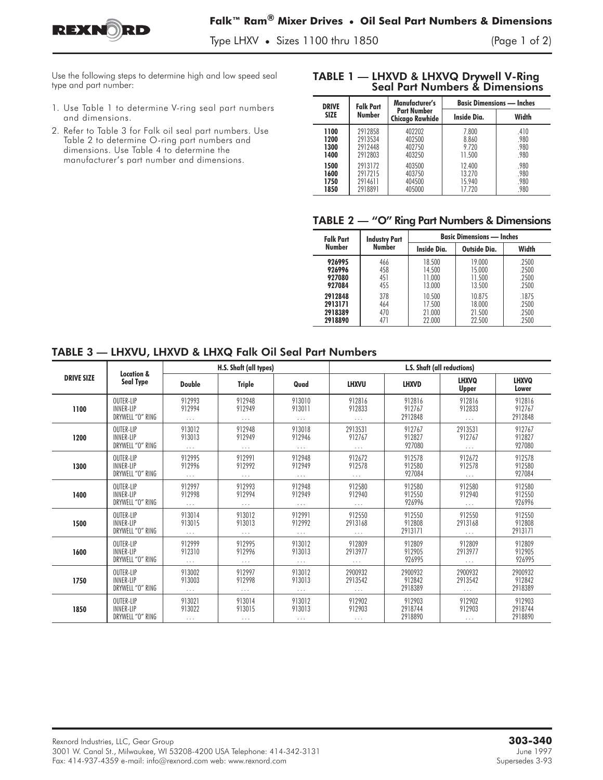

Type LHXV **•** Sizes 1100 thru 1850 (Page 1 of 2)

Use the following steps to determine high and low speed seal type and part number:

- 1. Use Table 1 to determine V-ring seal part numbers and dimensions.
- 2. Refer to Table 3 for Falk oil seal part numbers. Use Table 2 to determine O-ring part numbers and dimensions. Use Table 4 to determine the manufacturer's part number and dimensions.

## TABLE 1 — LHXVD & LHXVQ Drywell V-Ring

| <b>DRIVE</b><br><b>SIZE</b>  | <b>Falk Part</b><br><b>Number</b>        | Manufacturer's                               | <b>Basic Dimensions — Inches</b>     |                              |  |
|------------------------------|------------------------------------------|----------------------------------------------|--------------------------------------|------------------------------|--|
|                              |                                          | <b>Part Number</b><br><b>Chicago Rawhide</b> | <b>Inside Dia.</b>                   | Width                        |  |
| 1100<br>1200<br>1300<br>1400 | 2912858<br>2913534<br>2912448<br>2912803 | 402202<br>402500<br>402750<br>403250         | 7.800<br>8.860<br>9.720<br>11.500    | .410<br>.980<br>.980<br>.980 |  |
| 1500<br>1600<br>1750<br>1850 | 2913172<br>2917215<br>2914611<br>2918891 | 403500<br>403750<br>404500<br>405000         | 12.400<br>13.270<br>15.940<br>17.720 | .980<br>.980<br>.980<br>.980 |  |

## TABLE 2 — "O" Ring Part Numbers & Dimensions

| <b>Falk Part</b> | <b>Industry Part</b> | <b>Basic Dimensions — Inches</b> |              |       |  |  |
|------------------|----------------------|----------------------------------|--------------|-------|--|--|
| Number           | Number               | Inside Dia.                      | Outside Dia. | Width |  |  |
| 926995           | 466                  | 18.500                           | 19.000       | .2500 |  |  |
| 926996           | 458                  | 14.500                           | 15.000       | .2500 |  |  |
| 927080           | 451                  | 11.000                           | 11.500       | .2500 |  |  |
| 927084           | 455                  | 13.000                           | 13.500       | .2500 |  |  |
| 2912848          | 378                  | 10.500                           | 10.875       | .1875 |  |  |
| 2913171          | 464                  | 17.500                           | 18.000       | .2500 |  |  |
| 2918389          | 470                  | 21.000                           | 21.500       | .2500 |  |  |
| 2918890          | 471                  | 22,000                           | 22.500       | .2500 |  |  |

## TABLE 3 — LHXVU, LHXVD & LHXQ Falk Oil Seal Part Numbers

|                   | <b>Location &amp;</b><br>Seal Type | H.S. Shaft (all types) |               |          | L.S. Shaft (all reductions) |              |                              |                       |
|-------------------|------------------------------------|------------------------|---------------|----------|-----------------------------|--------------|------------------------------|-----------------------|
| <b>DRIVE SIZE</b> |                                    | <b>Double</b>          | <b>Triple</b> | Quad     | <b>LHXVU</b>                | <b>LHXVD</b> | <b>LHXVQ</b><br><b>Upper</b> | <b>LHXVQ</b><br>Lower |
| 1100              | OUTER-LIP                          | 912993                 | 912948        | 913010   | 912816                      | 912816       | 912816                       | 912816                |
|                   | <b>INNER-LIP</b>                   | 912994                 | 912949        | 913011   | 912833                      | 912767       | 912833                       | 912767                |
|                   | DRYWELL "O" RING                   | $\cdots$               | .             | $\cdots$ | $\cdots$                    | 2912848      | $\cdots$                     | 2912848               |
| 1200              | OUTER-LIP                          | 913012                 | 912948        | 913018   | 2913531                     | 912767       | 2913531                      | 912767                |
|                   | <b>INNER-LIP</b>                   | 913013                 | 912949        | 912946   | 912767                      | 912827       | 912767                       | 912827                |
|                   | DRYWELL "O" RING                   | $\cdots$               | $\cdots$      | $\cdots$ | $\cdots$                    | 927080       | $\cdots$                     | 927080                |
| 1300              | OUTER-LIP                          | 912995                 | 912991        | 912948   | 912672                      | 912578       | 912672                       | 912578                |
|                   | <b>INNER-LIP</b>                   | 912996                 | 912992        | 912949   | 912578                      | 912580       | 912578                       | 912580                |
|                   | DRYWELL "O" RING                   | $\ldots$               | $\cdots$      | $\cdots$ | $\cdots$                    | 927084       | $\ldots$                     | 927084                |
| 1400              | OUTER-LIP                          | 912997                 | 912993        | 912948   | 912580                      | 912580       | 912580                       | 912580                |
|                   | <b>INNER-LIP</b>                   | 912998                 | 912994        | 912949   | 912940                      | 912550       | 912940                       | 912550                |
|                   | DRYWELL "O" RING                   | $\cdots$               | $\cdots$      | $\cdots$ | $\cdots$                    | 926996       | $\cdots$                     | 926996                |
| 1500              | OUTER-LIP                          | 913014                 | 913012        | 912991   | 912550                      | 912550       | 912550                       | 912550                |
|                   | <b>INNER-LIP</b>                   | 913015                 | 913013        | 912992   | 2913168                     | 912808       | 2913168                      | 912808                |
|                   | DRYWELL "O" RING                   | $\cdots$               | $\cdots$      | $\cdots$ | $\cdots$                    | 2913171      | $\cdots$                     | 2913171               |
| 1600              | OUTER-LIP                          | 912999                 | 912995        | 913012   | 912809                      | 912809       | 912809                       | 912809                |
|                   | <b>INNER-LIP</b>                   | 912310                 | 912996        | 913013   | 2913977                     | 912905       | 2913977                      | 912905                |
|                   | DRYWELL "O" RING                   | $\cdots$               | .             | $\cdots$ | $\cdots$                    | 926995       | $\cdots$                     | 926995                |
| 1750              | OUTER-LIP                          | 913002                 | 912997        | 913012   | 2900932                     | 2900932      | 2900932                      | 2900932               |
|                   | <b>INNER-LIP</b>                   | 913003                 | 912998        | 913013   | 2913542                     | 912842       | 2913542                      | 912842                |
|                   | DRYWELL "O" RING                   | $\cdots$               | .             | $\cdots$ | $\cdots$                    | 2918389      | .                            | 2918389               |
| 1850              | OUTER-LIP                          | 913021                 | 913014        | 913012   | 912902                      | 912903       | 912902                       | 912903                |
|                   | <b>INNER-LIP</b>                   | 913022                 | 913015        | 913013   | 912903                      | 2918744      | 912903                       | 2918744               |
|                   | DRYWELL "O" RING                   | $\cdots$               | $\cdots$      | $\cdots$ | $\cdots$                    | 2918890      | $\cdots$                     | 2918890               |